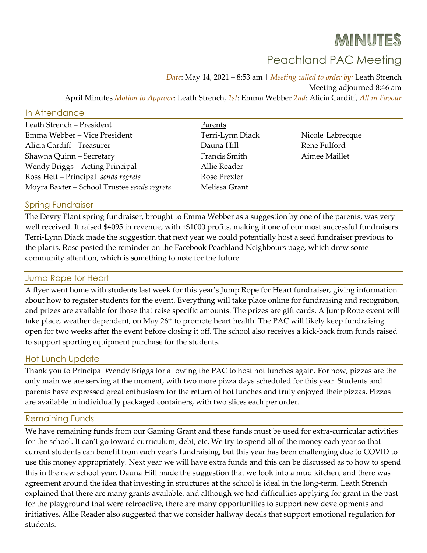# MINUTES

# Peachland PAC Meeting

*Date*: May 14, 2021 – 8:53 am | *Meeting called to order by:* Leath Strench Meeting adjourned 8:46 am April Minutes *Motion to Approve*: Leath Strench, *1st*: Emma Webber *2nd*: Alicia Cardiff, *All in Favour*

#### In Attendance

| Leath Strench - President                   | Parents          |                  |
|---------------------------------------------|------------------|------------------|
| Emma Webber - Vice President                | Terri-Lynn Diack | Nicole Labrecque |
| Alicia Cardiff - Treasurer                  | Dauna Hill       | Rene Fulford     |
| Shawna Quinn - Secretary                    | Francis Smith    | Aimee Maillet    |
| Wendy Briggs - Acting Principal             | Allie Reader     |                  |
| Ross Hett - Principal sends regrets         | Rose Prexler     |                  |
| Moyra Baxter - School Trustee sends regrets | Melissa Grant    |                  |

Spring Fundraiser

The Devry Plant spring fundraiser, brought to Emma Webber as a suggestion by one of the parents, was very well received. It raised \$4095 in revenue, with +\$1000 profits, making it one of our most successful fundraisers. Terri-Lynn Diack made the suggestion that next year we could potentially host a seed fundraiser previous to the plants. Rose posted the reminder on the Facebook Peachland Neighbours page, which drew some community attention, which is something to note for the future.

### Jump Rope for Heart

A flyer went home with students last week for this year's Jump Rope for Heart fundraiser, giving information about how to register students for the event. Everything will take place online for fundraising and recognition, and prizes are available for those that raise specific amounts. The prizes are gift cards. A Jump Rope event will take place, weather dependent, on May 26<sup>th</sup> to promote heart health. The PAC will likely keep fundraising open for two weeks after the event before closing it off. The school also receives a kick-back from funds raised to support sporting equipment purchase for the students.

#### Hot Lunch Update

Thank you to Principal Wendy Briggs for allowing the PAC to host hot lunches again. For now, pizzas are the only main we are serving at the moment, with two more pizza days scheduled for this year. Students and parents have expressed great enthusiasm for the return of hot lunches and truly enjoyed their pizzas. Pizzas are available in individually packaged containers, with two slices each per order.

#### Remaining Funds

We have remaining funds from our Gaming Grant and these funds must be used for extra-curricular activities for the school. It can't go toward curriculum, debt, etc. We try to spend all of the money each year so that current students can benefit from each year's fundraising, but this year has been challenging due to COVID to use this money appropriately. Next year we will have extra funds and this can be discussed as to how to spend this in the new school year. Dauna Hill made the suggestion that we look into a mud kitchen, and there was agreement around the idea that investing in structures at the school is ideal in the long-term. Leath Strench explained that there are many grants available, and although we had difficulties applying for grant in the past for the playground that were retroactive, there are many opportunities to support new developments and initiatives. Allie Reader also suggested that we consider hallway decals that support emotional regulation for students.